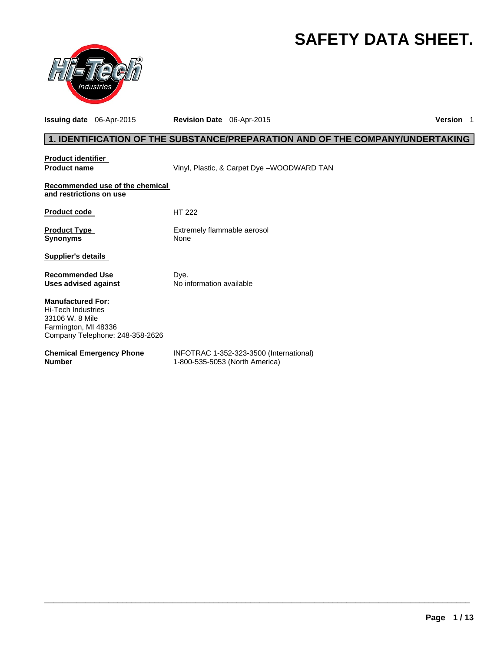# **SAFETY DATA SHEET.**



**Issuing date** 06-Apr-2015 **Revision Date** 06-Apr-2015 **Version** 1

# **1. IDENTIFICATION OF THE SUBSTANCE/PREPARATION AND OF THE COMPANY/UNDERTAKING**

| <b>Product identifier</b><br><b>Product name</b>                                                                             | Vinyl, Plastic, & Carpet Dye -WOODWARD TAN                                |
|------------------------------------------------------------------------------------------------------------------------------|---------------------------------------------------------------------------|
| Recommended use of the chemical<br>and restrictions on use                                                                   |                                                                           |
| <b>Product code</b>                                                                                                          | HT 222                                                                    |
| <b>Product Type</b><br><b>Synonyms</b>                                                                                       | Extremely flammable aerosol<br>None                                       |
| Supplier's details                                                                                                           |                                                                           |
| <b>Recommended Use</b><br>Uses advised against                                                                               | Dye.<br>No information available                                          |
| <b>Manufactured For:</b><br>Hi-Tech Industries<br>33106 W. 8 Mile<br>Farmington, MI 48336<br>Company Telephone: 248-358-2626 |                                                                           |
| <b>Chemical Emergency Phone</b><br><b>Number</b>                                                                             | INFOTRAC 1-352-323-3500 (International)<br>1-800-535-5053 (North America) |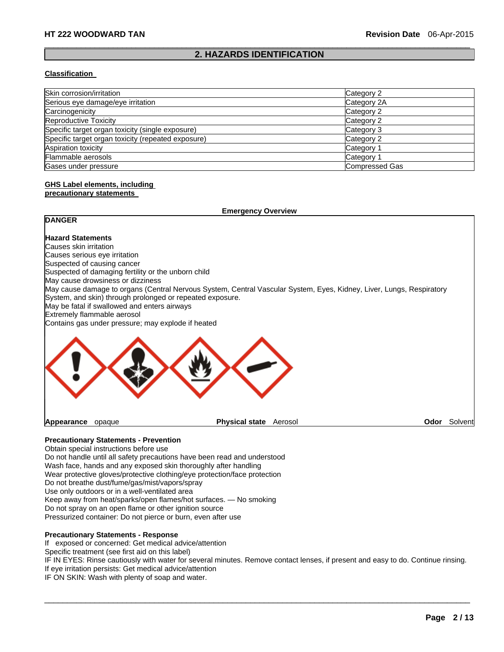#### $\Box$ **2. HAZARDS IDENTIFICATION**

#### **Classification**

| Skin corrosion/irritation                          | Category 2            |
|----------------------------------------------------|-----------------------|
| Serious eye damage/eye irritation                  | Category 2A           |
| Carcinogenicity                                    | Category 2            |
| Reproductive Toxicity                              | Category 2            |
| Specific target organ toxicity (single exposure)   | Category 3            |
| Specific target organ toxicity (repeated exposure) | Category 2            |
| Aspiration toxicity                                | Category 1            |
| Flammable aerosols                                 | Category 1            |
| Gases under pressure                               | <b>Compressed Gas</b> |

# **GHS Label elements, including**

### **precautionary statements**

| <b>Emergency Overview</b>                                                                                                                                                                                                         |                                          |         |
|-----------------------------------------------------------------------------------------------------------------------------------------------------------------------------------------------------------------------------------|------------------------------------------|---------|
| <b>DANGER</b>                                                                                                                                                                                                                     |                                          |         |
| <b>Hazard Statements</b>                                                                                                                                                                                                          |                                          |         |
| Causes skin irritation                                                                                                                                                                                                            |                                          |         |
| Causes serious eye irritation                                                                                                                                                                                                     |                                          |         |
| Suspected of causing cancer                                                                                                                                                                                                       |                                          |         |
| Suspected of damaging fertility or the unborn child                                                                                                                                                                               |                                          |         |
| May cause drowsiness or dizziness                                                                                                                                                                                                 |                                          |         |
| May cause damage to organs (Central Nervous System, Central Vascular System, Eyes, Kidney, Liver, Lungs, Respiratory<br>System, and skin) through prolonged or repeated exposure.<br>May be fatal if swallowed and enters airways |                                          |         |
| Extremely flammable aerosol                                                                                                                                                                                                       |                                          |         |
| Contains gas under pressure; may explode if heated                                                                                                                                                                                |                                          |         |
|                                                                                                                                                                                                                                   |                                          |         |
| Appearance<br>opaque                                                                                                                                                                                                              | <b>Physical state</b><br>Aerosol<br>Odor | Solvent |

# **Precautionary Statements - Prevention**

Obtain special instructions before use Do not handle until all safety precautions have been read and understood Wash face, hands and any exposed skin thoroughly after handling Wear protective gloves/protective clothing/eye protection/face protection Do not breathe dust/fume/gas/mist/vapors/spray Use only outdoors or in a well-ventilated area Keep away from heat/sparks/open flames/hot surfaces. — No smoking Do not spray on an open flame or other ignition source Pressurized container: Do not pierce or burn, even after use

#### **Precautionary Statements - Response**

If exposed or concerned: Get medical advice/attention

Specific treatment (see first aid on this label)

IF IN EYES: Rinse cautiously with water for several minutes. Remove contact lenses, if present and easy to do. Continue rinsing. If eye irritation persists: Get medical advice/attention

 $\Box$ 

IF ON SKIN: Wash with plenty of soap and water.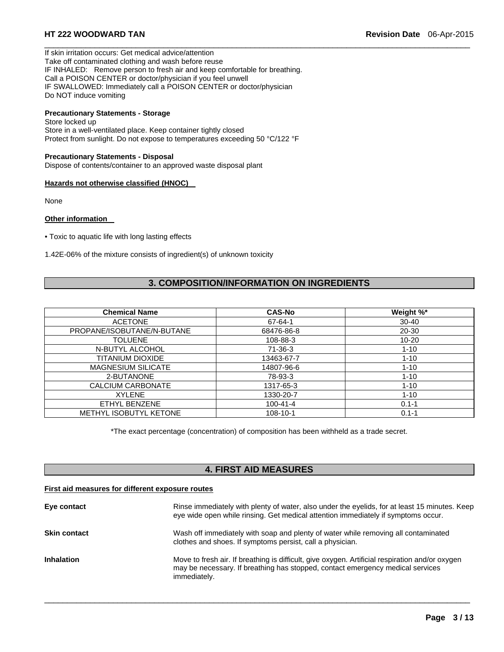If skin irritation occurs: Get medical advice/attention Take off contaminated clothing and wash before reuse IF INHALED: Remove person to fresh air and keep comfortable for breathing. Call a POISON CENTER or doctor/physician if you feel unwell IF SWALLOWED: Immediately call a POISON CENTER or doctor/physician Do NOT induce vomiting

# **Precautionary Statements - Storage**

Store locked up Store in a well-ventilated place. Keep container tightly closed Protect from sunlight. Do not expose to temperatures exceeding 50 °C/122 °F

#### **Precautionary Statements - Disposal**

Dispose of contents/container to an approved waste disposal plant

#### **Hazards not otherwise classified (HNOC)**

None

#### **Other information**

• Toxic to aquatic life with long lasting effects

1.42E-06% of the mixture consists of ingredient(s) of unknown toxicity

# **3. COMPOSITION/INFORMATION ON INGREDIENTS**

 $\Box$ 

| <b>Chemical Name</b>          | <b>CAS-No</b>  | Weight %* |
|-------------------------------|----------------|-----------|
| <b>ACETONE</b>                | 67-64-1        | $30 - 40$ |
| PROPANE/ISOBUTANE/N-BUTANE    | 68476-86-8     | $20 - 30$ |
| <b>TOLUENE</b>                | 108-88-3       | $10 - 20$ |
| N-BUTYL ALCOHOL               | $71-36-3$      | $1 - 10$  |
| TITANIUM DIOXIDE              | 13463-67-7     | $1 - 10$  |
| <b>MAGNESIUM SILICATE</b>     | 14807-96-6     | $1 - 10$  |
| 2-BUTANONE                    | 78-93-3        | $1 - 10$  |
| CALCIUM CARBONATE             | 1317-65-3      | $1 - 10$  |
| <b>XYLENE</b>                 | 1330-20-7      | $1 - 10$  |
| ETHYL BENZENE                 | $100 - 41 - 4$ | $0.1 - 1$ |
| <b>METHYL ISOBUTYL KETONE</b> | 108-10-1       | $0.1 - 1$ |

\*The exact percentage (concentration) of composition has been withheld as a trade secret.

# **4. FIRST AID MEASURES**

#### **First aid measures for different exposure routes**

| Eye contact         | Rinse immediately with plenty of water, also under the eyelids, for at least 15 minutes. Keep<br>eye wide open while rinsing. Get medical attention immediately if symptoms occur.                |
|---------------------|---------------------------------------------------------------------------------------------------------------------------------------------------------------------------------------------------|
| <b>Skin contact</b> | Wash off immediately with soap and plenty of water while removing all contaminated<br>clothes and shoes. If symptoms persist, call a physician.                                                   |
| <b>Inhalation</b>   | Move to fresh air. If breathing is difficult, give oxygen. Artificial respiration and/or oxygen<br>may be necessary. If breathing has stopped, contact emergency medical services<br>immediately. |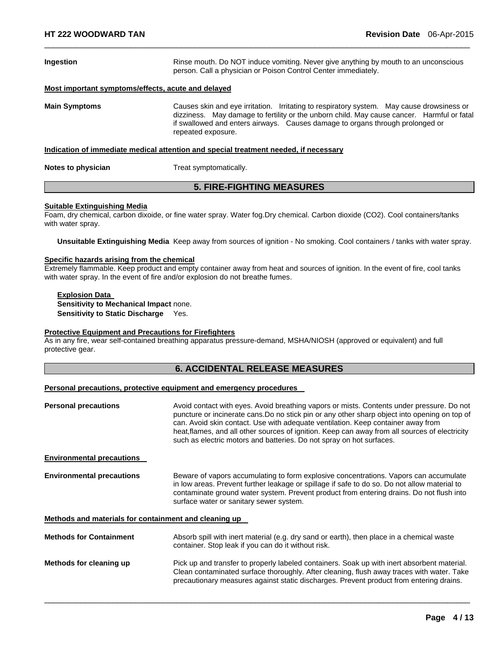| Ingestion                                                                            | Rinse mouth. Do NOT induce vomiting. Never give anything by mouth to an unconscious<br>person. Call a physician or Poison Control Center immediately.                                                                                                                                          |  |
|--------------------------------------------------------------------------------------|------------------------------------------------------------------------------------------------------------------------------------------------------------------------------------------------------------------------------------------------------------------------------------------------|--|
| Most important symptoms/effects, acute and delayed                                   |                                                                                                                                                                                                                                                                                                |  |
| <b>Main Symptoms</b>                                                                 | Causes skin and eye irritation. Irritating to respiratory system. May cause drowsiness or<br>dizziness. May damage to fertility or the unborn child. May cause cancer. Harmful or fatal<br>if swallowed and enters airways. Causes damage to organs through prolonged or<br>repeated exposure. |  |
| Indication of immediate medical attention and special treatment needed, if necessary |                                                                                                                                                                                                                                                                                                |  |
| Notes to physician<br>Treat symptomatically.                                         |                                                                                                                                                                                                                                                                                                |  |
| <b>5. FIRE-FIGHTING MEASURES</b>                                                     |                                                                                                                                                                                                                                                                                                |  |

 $\Box$ 

#### **Suitable Extinguishing Media**

Foam, dry chemical, carbon dixoide, or fine water spray. Water fog.Dry chemical. Carbon dioxide (CO2). Cool containers/tanks with water spray.

**Unsuitable Extinguishing Media** Keep away from sources of ignition - No smoking. Cool containers / tanks with water spray.

#### **Specific hazards arising from the chemical**

Extremely flammable. Keep product and empty container away from heat and sources of ignition. In the event of fire, cool tanks with water spray. In the event of fire and/or explosion do not breathe fumes.

**Explosion Data Sensitivity to Mechanical Impact** none. **Sensitivity to Static Discharge** Yes.

#### **Protective Equipment and Precautions for Firefighters**

As in any fire, wear self-contained breathing apparatus pressure-demand, MSHA/NIOSH (approved or equivalent) and full protective gear.

# **6. ACCIDENTAL RELEASE MEASURES**

#### **Personal precautions, protective equipment and emergency procedures**

| <b>Personal precautions</b>                           | Avoid contact with eyes. Avoid breathing vapors or mists. Contents under pressure. Do not<br>puncture or incinerate cans. Do no stick pin or any other sharp object into opening on top of<br>can. Avoid skin contact. Use with adequate ventilation. Keep container away from<br>heat, flames, and all other sources of ignition. Keep can away from all sources of electricity<br>such as electric motors and batteries. Do not spray on hot surfaces. |
|-------------------------------------------------------|----------------------------------------------------------------------------------------------------------------------------------------------------------------------------------------------------------------------------------------------------------------------------------------------------------------------------------------------------------------------------------------------------------------------------------------------------------|
| <b>Environmental precautions</b>                      |                                                                                                                                                                                                                                                                                                                                                                                                                                                          |
| <b>Environmental precautions</b>                      | Beware of vapors accumulating to form explosive concentrations. Vapors can accumulate<br>in low areas. Prevent further leakage or spillage if safe to do so. Do not allow material to<br>contaminate ground water system. Prevent product from entering drains. Do not flush into<br>surface water or sanitary sewer system.                                                                                                                             |
| Methods and materials for containment and cleaning up |                                                                                                                                                                                                                                                                                                                                                                                                                                                          |
| <b>Methods for Containment</b>                        | Absorb spill with inert material (e.g. dry sand or earth), then place in a chemical waste<br>container. Stop leak if you can do it without risk.                                                                                                                                                                                                                                                                                                         |
| Methods for cleaning up                               | Pick up and transfer to properly labeled containers. Soak up with inert absorbent material.<br>Clean contaminated surface thoroughly. After cleaning, flush away traces with water. Take<br>precautionary measures against static discharges. Prevent product from entering drains.                                                                                                                                                                      |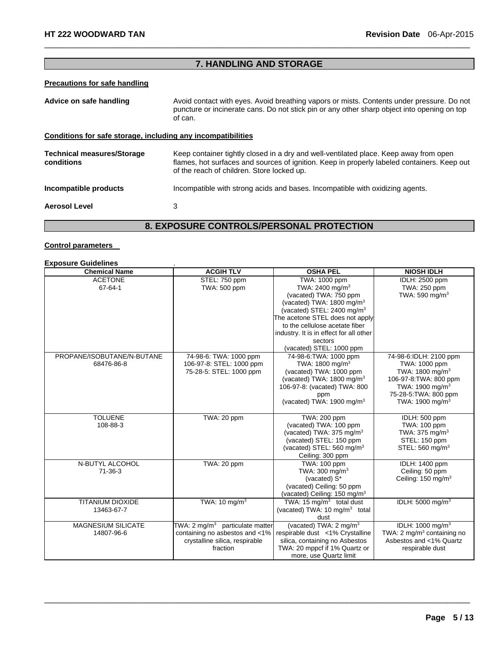# **7. HANDLING AND STORAGE AND STORAGE AND STORAGE AND STORAGE AND STORAGE AND STORAGE**

 $\Box$ 

# **Precautions for safe handling**

| Advice on safe handling                                      | Avoid contact with eyes. Avoid breathing vapors or mists. Contents under pressure. Do not<br>puncture or incinerate cans. Do not stick pin or any other sharp object into opening on top<br>of can.                                |  |  |  |
|--------------------------------------------------------------|------------------------------------------------------------------------------------------------------------------------------------------------------------------------------------------------------------------------------------|--|--|--|
| Conditions for safe storage, including any incompatibilities |                                                                                                                                                                                                                                    |  |  |  |
| <b>Technical measures/Storage</b><br>conditions              | Keep container tightly closed in a dry and well-ventilated place. Keep away from open<br>flames, hot surfaces and sources of ignition. Keep in properly labeled containers. Keep out<br>of the reach of children. Store locked up. |  |  |  |
| Incompatible products                                        | Incompatible with strong acids and bases. Incompatible with oxidizing agents.                                                                                                                                                      |  |  |  |
| <b>Aerosol Level</b>                                         | 3                                                                                                                                                                                                                                  |  |  |  |
| <b>AAUTRALAIRERAAULI</b>                                     |                                                                                                                                                                                                                                    |  |  |  |

### **8. EXPOSURE CONTROLS/PERSONAL PROTECTION**

#### **Control parameters**

| <b>Exposure Guidelines</b>               |                                                                                                                             |                                                                                                                                                                                                           |                                                                                                                                                                                         |
|------------------------------------------|-----------------------------------------------------------------------------------------------------------------------------|-----------------------------------------------------------------------------------------------------------------------------------------------------------------------------------------------------------|-----------------------------------------------------------------------------------------------------------------------------------------------------------------------------------------|
| <b>Chemical Name</b>                     | <b>ACGIH TLV</b>                                                                                                            | <b>OSHA PEL</b>                                                                                                                                                                                           | <b>NIOSH IDLH</b>                                                                                                                                                                       |
| <b>ACETONE</b><br>67-64-1                | STEL: 750 ppm<br>TWA: 500 ppm                                                                                               | TWA: 1000 ppm<br>TWA: 2400 mg/m <sup>3</sup><br>(vacated) TWA: 750 ppm<br>(vacated) TWA: 1800 mg/m <sup>3</sup>                                                                                           | IDLH: 2500 ppm<br>TWA: 250 ppm<br>TWA: 590 mg/m <sup>3</sup>                                                                                                                            |
|                                          |                                                                                                                             | (vacated) STEL: 2400 mg/m <sup>3</sup><br>The acetone STEL does not apply<br>to the cellulose acetate fiber<br>industry. It is in effect for all other<br>sectors<br>(vacated) STEL: 1000 ppm             |                                                                                                                                                                                         |
| PROPANE/ISOBUTANE/N-BUTANE<br>68476-86-8 | 74-98-6: TWA: 1000 ppm<br>106-97-8: STEL: 1000 ppm<br>75-28-5: STEL: 1000 ppm                                               | 74-98-6: TWA: 1000 ppm<br>TWA: 1800 mg/m <sup>3</sup><br>(vacated) TWA: 1000 ppm<br>(vacated) TWA: 1800 mg/m <sup>3</sup><br>106-97-8: (vacated) TWA: 800<br>ppm<br>(vacated) TWA: 1900 mg/m <sup>3</sup> | 74-98-6:IDLH: 2100 ppm<br>TWA: 1000 ppm<br>TWA: 1800 mg/m <sup>3</sup><br>106-97-8: TWA: 800 ppm<br>TWA: 1900 mg/m <sup>3</sup><br>75-28-5: TWA: 800 ppm<br>TWA: 1900 mg/m <sup>3</sup> |
| <b>TOLUENE</b><br>108-88-3               | TWA: 20 ppm                                                                                                                 | TWA: 200 ppm<br>(vacated) TWA: 100 ppm<br>(vacated) TWA: 375 mg/m <sup>3</sup><br>(vacated) STEL: 150 ppm<br>(vacated) STEL: 560 mg/m <sup>3</sup><br>Ceiling: 300 ppm                                    | IDLH: 500 ppm<br>TWA: 100 ppm<br>TWA: 375 mg/m <sup>3</sup><br>STEL: 150 ppm<br>STEL: 560 mg/m <sup>3</sup>                                                                             |
| N-BUTYL ALCOHOL<br>$71-36-3$             | TWA: 20 ppm                                                                                                                 | TWA: 100 ppm<br>TWA: $300 \text{ mg/m}^3$<br>(vacated) S*<br>(vacated) Ceiling: 50 ppm<br>(vacated) Ceiling: 150 mg/m <sup>3</sup>                                                                        | IDLH: 1400 ppm<br>Ceiling: 50 ppm<br>Ceiling: 150 mg/m <sup>3</sup>                                                                                                                     |
| <b>TITANIUM DIOXIDE</b><br>13463-67-7    | TWA: 10 mg/m <sup>3</sup>                                                                                                   | TWA: 15 $mq/m3$ total dust<br>(vacated) TWA: 10 mg/m <sup>3</sup> total<br>dust                                                                                                                           | IDLH: 5000 mg/m <sup>3</sup>                                                                                                                                                            |
| <b>MAGNESIUM SILICATE</b><br>14807-96-6  | TWA: 2 mg/m <sup>3</sup> particulate matter<br>containing no asbestos and <1%<br>crystalline silica, respirable<br>fraction | (vacated) TWA: $2 \text{ mg/m}^3$<br>respirable dust <1% Crystalline<br>silica, containing no Asbestos<br>TWA: 20 mppcf if 1% Quartz or<br>more, use Quartz limit                                         | IDLH: 1000 mg/m <sup>3</sup><br>TWA: 2 mg/m <sup>3</sup> containing no<br>Asbestos and <1% Quartz<br>respirable dust                                                                    |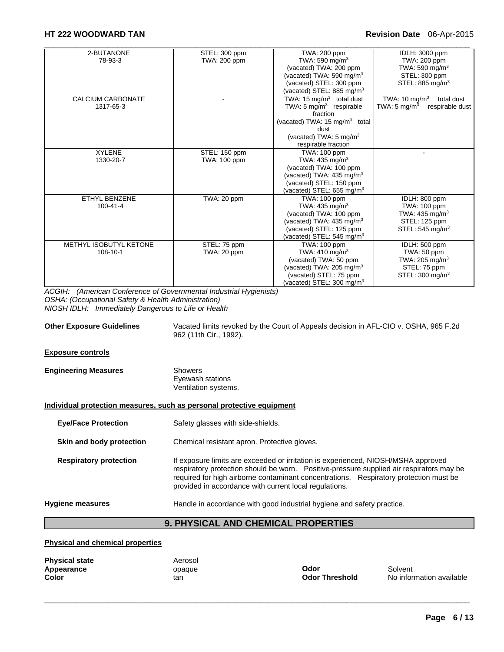| 2-BUTANONE               | STEL: 300 ppm       | TWA: 200 ppm                              | IDLH: 3000 ppm                             |
|--------------------------|---------------------|-------------------------------------------|--------------------------------------------|
| 78-93-3                  | TWA: 200 ppm        | TWA: 590 mg/m <sup>3</sup>                | TWA: 200 ppm                               |
|                          |                     | (vacated) TWA: 200 ppm                    | TWA: 590 mg/m <sup>3</sup>                 |
|                          |                     | (vacated) TWA: 590 mg/m <sup>3</sup>      | STEL: 300 ppm                              |
|                          |                     | (vacated) STEL: 300 ppm                   | STEL: 885 mg/m <sup>3</sup>                |
|                          |                     | (vacated) STEL: 885 mg/m $3$              |                                            |
| <b>CALCIUM CARBONATE</b> |                     | TWA: 15 $mg/m3$ total dust                | TWA: 10 mg/m <sup>3</sup><br>total dust    |
| 1317-65-3                |                     | TWA: 5 mg/m <sup>3</sup> respirable       | TWA: $5 \text{ mg/m}^3$<br>respirable dust |
|                          |                     | fraction                                  |                                            |
|                          |                     | (vacated) TWA: 15 mg/m <sup>3</sup> total |                                            |
|                          |                     | dust                                      |                                            |
|                          |                     | (vacated) TWA: $5 \text{ mg/m}^3$         |                                            |
|                          |                     | respirable fraction                       |                                            |
| <b>XYLENE</b>            | STEL: 150 ppm       | TWA: 100 ppm                              |                                            |
| 1330-20-7                | <b>TWA: 100 ppm</b> | TWA: $435 \text{ mg/m}^3$                 |                                            |
|                          |                     | (vacated) TWA: 100 ppm                    |                                            |
|                          |                     | (vacated) TWA: $435 \text{ mg/m}^3$       |                                            |
|                          |                     | (vacated) STEL: 150 ppm                   |                                            |
|                          |                     | (vacated) STEL: 655 mg/m $3$              |                                            |
| ETHYL BENZENE            | TWA: 20 ppm         | TWA: 100 ppm                              | IDLH: 800 ppm                              |
| $100 - 41 - 4$           |                     | TWA: $435 \text{ mg/m}^3$                 | TWA: 100 ppm                               |
|                          |                     | (vacated) TWA: 100 ppm                    | TWA: 435 mg/m <sup>3</sup>                 |
|                          |                     | (vacated) TWA: 435 mg/m <sup>3</sup>      | STEL: 125 ppm                              |
|                          |                     | (vacated) STEL: 125 ppm                   | STEL: $545 \text{ mg/m}^3$                 |
|                          |                     | (vacated) STEL: 545 mg/m <sup>3</sup>     |                                            |
| METHYL ISOBUTYL KETONE   | STEL: 75 ppm        | TWA: 100 ppm                              | IDLH: 500 ppm                              |
| $108 - 10 - 1$           | TWA: 20 ppm         | TWA: $410 \text{ mg/m}^3$                 | TWA: 50 ppm                                |
|                          |                     | (vacated) TWA: 50 ppm                     | TWA: 205 mg/m <sup>3</sup>                 |
|                          |                     | (vacated) TWA: 205 mg/m <sup>3</sup>      | STEL: 75 ppm                               |
|                          |                     | (vacated) STEL: 75 ppm                    | STEL: 300 mg/m <sup>3</sup>                |
|                          |                     | (vacated) STEL: 300 mg/m <sup>3</sup>     |                                            |

*ACGIH: (American Conference of Governmental Industrial Hygienists) OSHA: (Occupational Safety & Health Administration) NIOSH IDLH: Immediately Dangerous to Life or Health* 

**Other Exposure Guidelines** Vacated limits revoked by the Court of Appeals decision in AFL-CIO v. OSHA, 965 F.2d 962 (11th Cir., 1992).

#### **Exposure controls**

| <b>Engineering Measures</b> | Showers              |  |
|-----------------------------|----------------------|--|
|                             | Eyewash stations     |  |
|                             | Ventilation systems. |  |

#### **Individual protection measures, such as personal protective equipment**

| <b>Hygiene measures</b>       | Handle in accordance with good industrial hygiene and safety practice.                                                                                                                                                                                                                                                            |
|-------------------------------|-----------------------------------------------------------------------------------------------------------------------------------------------------------------------------------------------------------------------------------------------------------------------------------------------------------------------------------|
| <b>Respiratory protection</b> | If exposure limits are exceeded or irritation is experienced, NIOSH/MSHA approved<br>respiratory protection should be worn.  Positive-pressure supplied air respirators may be<br>required for high airborne contaminant concentrations. Respiratory protection must be<br>provided in accordance with current local regulations. |
| Skin and body protection      | Chemical resistant apron. Protective gloves.                                                                                                                                                                                                                                                                                      |
| <b>Eye/Face Protection</b>    | Safety glasses with side-shields.                                                                                                                                                                                                                                                                                                 |

# **9. PHYSICAL AND CHEMICAL PROPERTIES**

 $\Box$ 

#### **Physical and chemical properties**

| <b>Physical state</b> | Aerosol |                       |          |
|-----------------------|---------|-----------------------|----------|
| Appearance            | opaque  | Odor                  | Solvent  |
| Color                 | tan     | <b>Odor Threshold</b> | No infor |

**Odor Threshold** No information available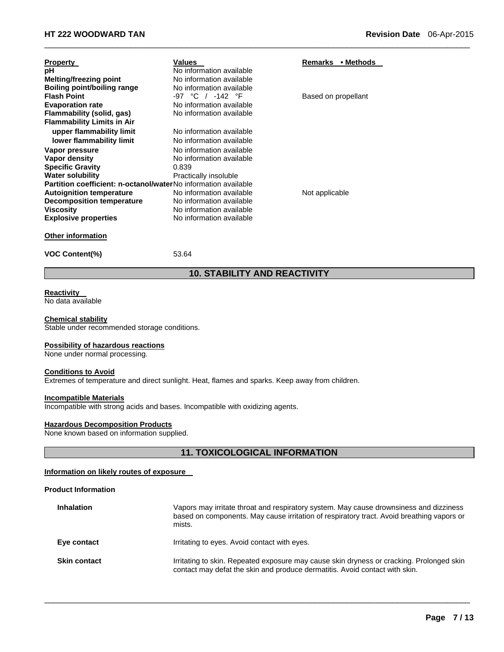| Values<br>Remarks • Methods<br><b>Property</b><br>рH<br>No information available<br><b>Melting/freezing point</b><br>No information available<br>Boiling point/boiling range<br>No information available<br><b>Flash Point</b><br>-97 °C / -142 °F<br>Based on propellant<br>No information available<br><b>Evaporation rate</b>     |  |
|--------------------------------------------------------------------------------------------------------------------------------------------------------------------------------------------------------------------------------------------------------------------------------------------------------------------------------------|--|
| Flammability (solid, gas)<br>No information available                                                                                                                                                                                                                                                                                |  |
| <b>Flammability Limits in Air</b><br>upper flammability limit<br>No information available<br>lower flammability limit<br>No information available<br>Vapor pressure<br>No information available<br><b>Vapor density</b><br>No information available<br><b>Specific Gravity</b><br>0.839<br>Water solubility<br>Practically insoluble |  |
| <b>Partition coefficient: n-octanol/waterNo information available</b><br><b>Autoignition temperature</b><br>No information available<br>Not applicable<br><b>Decomposition temperature</b><br>No information available<br><b>Viscosity</b><br>No information available<br>No information available<br><b>Explosive properties</b>    |  |
| <b>Other information</b><br><b>VOC Content(%)</b><br>53.64                                                                                                                                                                                                                                                                           |  |

# **10. STABILITY AND REACTIVITY**

 $\Box$ 

#### **Reactivity**

No data available

#### **Chemical stability**

Stable under recommended storage conditions.

#### **Possibility of hazardous reactions**

None under normal processing.

### **Conditions to Avoid**

Extremes of temperature and direct sunlight. Heat, flames and sparks. Keep away from children.

#### **Incompatible Materials**

Incompatible with strong acids and bases. Incompatible with oxidizing agents.

### **Hazardous Decomposition Products**

None known based on information supplied.

# **11. TOXICOLOGICAL INFORMATION**

#### **Information on likely routes of exposure**

#### **Product Information**

| <b>Inhalation</b>   | Vapors may irritate throat and respiratory system. May cause drownsiness and dizziness<br>based on components. May cause irritation of respiratory tract. Avoid breathing vapors or<br>mists. |
|---------------------|-----------------------------------------------------------------------------------------------------------------------------------------------------------------------------------------------|
| Eye contact         | Irritating to eyes. Avoid contact with eyes.                                                                                                                                                  |
| <b>Skin contact</b> | Irritating to skin. Repeated exposure may cause skin dryness or cracking. Prolonged skin<br>contact may defat the skin and produce dermatitis. Avoid contact with skin.                       |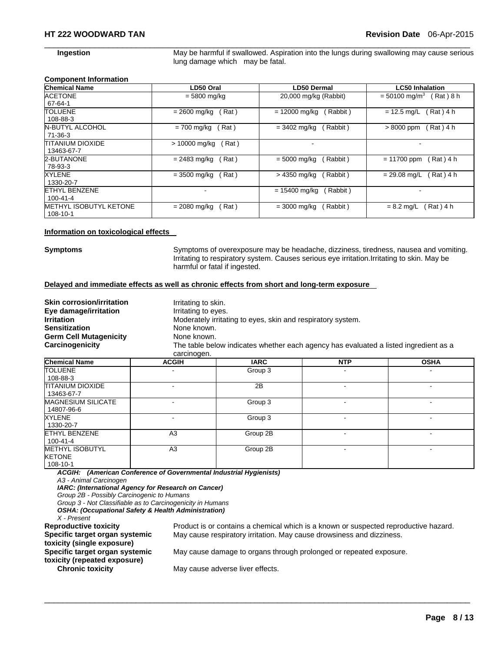**Ingestion May be harmful if swallowed. Aspiration into the lungs during swallowing may cause serious** lung damage which may be fatal.

#### **Component Information**

| <b>Chemical Name</b>                   | LD50 Oral             | LD50 Dermal                 | <b>LC50 Inhalation</b>                   |
|----------------------------------------|-----------------------|-----------------------------|------------------------------------------|
| <b>ACETONE</b><br>67-64-1              | $= 5800$ mg/kg        | 20,000 mg/kg (Rabbit)       | $= 50100$ mg/m <sup>3</sup><br>Rat ) 8 h |
| <b>TOLUENE</b>                         | Rat)                  | Rabbit)                     | (Rat ) 4 h                               |
| 108-88-3                               | $= 2600$ mg/kg        | $= 12000$ mg/kg             | $= 12.5$ mg/L                            |
| <b>N-BUTYL ALCOHOL</b>                 | = 700 mg/kg           | $= 3402 \text{ mg/kg}$      | $>8000$ ppm                              |
| $71-36-3$                              | Rat)                  | (Rabbit)                    | Rat ) 4 h                                |
| <b>TITANIUM DIOXIDE</b><br>13463-67-7  | Rat)<br>> 10000 mg/kg |                             |                                          |
| 2-BUTANONE                             | Rat)                  | (Rabbit)                    | $= 11700$ ppm                            |
| 78-93-3                                | $= 2483$ mg/kg        | $= 5000$ mg/kg              | Rat) 4 h                                 |
| XYLENE                                 | Rat)                  | > 4350 mg/kg                | Rat ) 4 h                                |
| 1330-20-7                              | $= 3500$ mg/kg        | (Rabbit)                    | $= 29.08$ mg/L                           |
| <b>ETHYL BENZENE</b><br>$100 - 41 - 4$ |                       | $= 15400$ mg/kg<br>(Rabbit) |                                          |
| <b>METHYL ISOBUTYL KETONE</b>          | Rat)                  | ( Rabbit )                  | Rat ) 4 h                                |
| 108-10-1                               | $= 2080$ mg/kg        | $= 3000$ mg/kg              | $= 8.2$ mg/L                             |

 $\Box$ 

#### **Information on toxicological effects**

**Symptoms** Symptoms of overexposure may be headache, dizziness, tiredness, nausea and vomiting. Irritating to respiratory system. Causes serious eye irritation.Irritating to skin. May be harmful or fatal if ingested.

#### **Delayed and immediate effects as well as chronic effects from short and long-term exposure**

| <b>Skin corrosion/irritation</b><br>Eye damage/irritation<br><b>Irritation</b><br><b>Sensitization</b><br><b>Germ Cell Mutagenicity</b><br>Carcinogenicity | Irritating to skin.<br>Irritating to eyes.<br>None known.<br>None known.<br>carcinogen. | Moderately irritating to eyes, skin and respiratory system. | The table below indicates whether each agency has evaluated a listed ingredient as a |             |
|------------------------------------------------------------------------------------------------------------------------------------------------------------|-----------------------------------------------------------------------------------------|-------------------------------------------------------------|--------------------------------------------------------------------------------------|-------------|
| <b>Chemical Name</b>                                                                                                                                       | <b>ACGIH</b>                                                                            | <b>IARC</b>                                                 | <b>NTP</b>                                                                           | <b>OSHA</b> |

| <b>UNDERLIGATION</b>                                | <b>AVVIII</b>  | mw       | .              | "''                      |
|-----------------------------------------------------|----------------|----------|----------------|--------------------------|
| <b>TOLUENE</b>                                      | -              | Group 3  |                |                          |
| 108-88-3                                            |                |          |                |                          |
| <b>TITANIUM DIOXIDE</b><br>13463-67-7               | ۰              | 2B       | ۰              | $\overline{\phantom{a}}$ |
| <b>MAGNESIUM SILICATE</b><br>14807-96-6             | ۰              | Group 3  | ۰              |                          |
| <b>XYLENE</b><br>1330-20-7                          | ٠              | Group 3  |                | -                        |
| <b>ETHYL BENZENE</b><br>100-41-4                    | A <sub>3</sub> | Group 2B |                | -                        |
| <b>METHYL ISOBUTYL</b><br><b>KETONE</b><br>108-10-1 | A <sub>3</sub> | Group 2B | $\blacksquare$ | -                        |

 $\Box$ 

*ACGIH: (American Conference of Governmental Industrial Hygienists)* 

*A3 - Animal Carcinogen* 

*IARC: (International Agency for Research on Cancer)* 

*Group 2B - Possibly Carcinogenic to Humans* 

*Group 3 - Not Classifiable as to Carcinogenicity in Humans* 

*OSHA: (Occupational Safety & Health Administration)* 

*X - Present* 

**Specific target organ systemic toxicity (single exposure) Specific target organ systemic toxicity (repeated exposure)** 

**Reproductive toxicity** Product is or contains a chemical which is a known or suspected reproductive hazard. May cause respiratory irritation. May cause drowsiness and dizziness.

May cause damage to organs through prolonged or repeated exposure.

**Chronic toxicity May cause adverse liver effects.**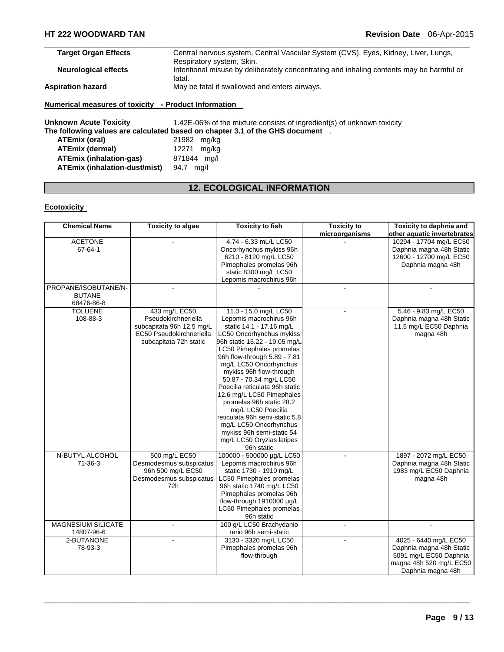| <b>Target Organ Effects</b> | Central nervous system, Central Vascular System (CVS), Eyes, Kidney, Liver, Lungs,       |
|-----------------------------|------------------------------------------------------------------------------------------|
|                             | Respiratory system, Skin.                                                                |
| <b>Neurological effects</b> | Intentional misuse by deliberately concentrating and inhaling contents may be harmful or |
|                             | fatal.                                                                                   |
| <b>Aspiration hazard</b>    | May be fatal if swallowed and enters airways.                                            |
|                             |                                                                                          |

### **Numerical measures of toxicity - Product Information**

Unknown Acute Toxicity **1.42E-06%** of the mixture consists of ingredient(s) of unknown toxicity **The following values are calculated based on chapter 3.1 of the GHS document** . **ATEmix (oral)** 21982 mg/kg **ATEmix (dermal)** 12271 mg/kg **ATEmix (inhalation-gas)** 871844 mg/l **ATEmix (inhalation-dust/mist)** 94.7 mg/l

# **12. ECOLOGICAL INFORMATION**

### **Ecotoxicity**

| <b>Chemical Name</b>      | <b>Toxicity to algae</b>  | <b>Toxicity to fish</b>        | <b>Toxicity to</b> | Toxicity to daphnia and     |
|---------------------------|---------------------------|--------------------------------|--------------------|-----------------------------|
|                           |                           |                                | microorganisms     | other aquatic invertebrates |
| <b>ACETONE</b>            |                           | 4.74 - 6.33 mL/L LC50          |                    | 10294 - 17704 mg/L EC50     |
| 67-64-1                   |                           | Oncorhynchus mykiss 96h        |                    | Daphnia magna 48h Static    |
|                           |                           | 6210 - 8120 mg/L LC50          |                    | 12600 - 12700 mg/L EC50     |
|                           |                           | Pimephales promelas 96h        |                    | Daphnia magna 48h           |
|                           |                           | static 8300 mg/L LC50          |                    |                             |
|                           |                           | Lepomis macrochirus 96h        |                    |                             |
| PROPANE/ISOBUTANE/N-      |                           |                                |                    |                             |
| <b>BUTANE</b>             |                           |                                |                    |                             |
| 68476-86-8                |                           |                                |                    |                             |
| <b>TOLUENE</b>            | 433 mg/L EC50             | 11.0 - 15.0 mg/L LC50          | $\blacksquare$     | 5.46 - 9.83 mg/L EC50       |
| 108-88-3                  | Pseudokirchneriella       | Lepomis macrochirus 96h        |                    | Daphnia magna 48h Static    |
|                           | subcapitata 96h 12.5 mg/L | static 14.1 - 17.16 mg/L       |                    | 11.5 mg/L EC50 Daphnia      |
|                           | EC50 Pseudokirchneriella  | LC50 Oncorhynchus mykiss       |                    | magna 48h                   |
|                           | subcapitata 72h static    | 96h static 15.22 - 19.05 mg/L  |                    |                             |
|                           |                           | LC50 Pimephales promelas       |                    |                             |
|                           |                           | 96h flow-through 5.89 - 7.81   |                    |                             |
|                           |                           | mg/L LC50 Oncorhynchus         |                    |                             |
|                           |                           | mykiss 96h flow-through        |                    |                             |
|                           |                           | 50.87 - 70.34 mg/L LC50        |                    |                             |
|                           |                           | Poecilia reticulata 96h static |                    |                             |
|                           |                           | 12.6 mg/L LC50 Pimephales      |                    |                             |
|                           |                           | promelas 96h static 28.2       |                    |                             |
|                           |                           |                                |                    |                             |
|                           |                           | mg/L LC50 Poecilia             |                    |                             |
|                           |                           | reticulata 96h semi-static 5.8 |                    |                             |
|                           |                           | mg/L LC50 Oncorhynchus         |                    |                             |
|                           |                           | mykiss 96h semi-static 54      |                    |                             |
|                           |                           | mg/L LC50 Oryzias latipes      |                    |                             |
|                           |                           | 96h static                     |                    |                             |
| N-BUTYL ALCOHOL           | 500 mg/L EC50             | 100000 - 500000 µg/L LC50      |                    | 1897 - 2072 mg/L EC50       |
| $71 - 36 - 3$             | Desmodesmus subspicatus   | Lepomis macrochirus 96h        |                    | Daphnia magna 48h Static    |
|                           | 96h 500 mg/L EC50         | static 1730 - 1910 mg/L        |                    | 1983 mg/L EC50 Daphnia      |
|                           | Desmodesmus subspicatus   | LC50 Pimephales promelas       |                    | magna 48h                   |
|                           | 72h                       | 96h static 1740 mg/L LC50      |                    |                             |
|                           |                           | Pimephales promelas 96h        |                    |                             |
|                           |                           | flow-through 1910000 µg/L      |                    |                             |
|                           |                           | LC50 Pimephales promelas       |                    |                             |
|                           |                           | 96h static                     |                    |                             |
| <b>MAGNESIUM SILICATE</b> |                           | 100 g/L LC50 Brachydanio       |                    |                             |
| 14807-96-6                |                           | rerio 96h semi-static          |                    |                             |
| 2-BUTANONE                |                           | 3130 - 3320 mg/L LC50          |                    | 4025 - 6440 mg/L EC50       |
| 78-93-3                   |                           | Pimephales promelas 96h        |                    | Daphnia magna 48h Static    |
|                           |                           | flow-through                   |                    | 5091 mg/L EC50 Daphnia      |
|                           |                           |                                |                    | magna 48h 520 mg/L EC50     |
|                           |                           |                                |                    | Daphnia magna 48h           |
|                           |                           |                                |                    |                             |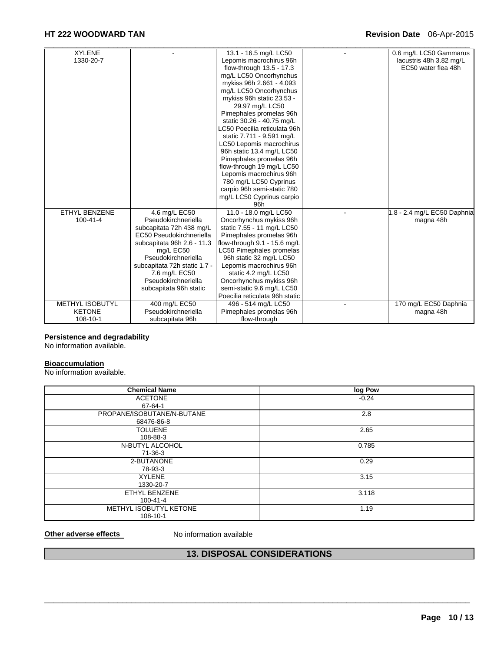# **HT 222 WOODWARD TAN Revision Date** 06-Apr-2015

| <b>XYLENE</b>          |                              | 13.1 - 16.5 mg/L LC50           | 0.6 mg/L LC50 Gammarus      |
|------------------------|------------------------------|---------------------------------|-----------------------------|
| 1330-20-7              |                              | Lepomis macrochirus 96h         | lacustris 48h 3.82 mg/L     |
|                        |                              | flow-through 13.5 - 17.3        | EC50 water flea 48h         |
|                        |                              | mg/L LC50 Oncorhynchus          |                             |
|                        |                              | mykiss 96h 2.661 - 4.093        |                             |
|                        |                              | mg/L LC50 Oncorhynchus          |                             |
|                        |                              | mykiss 96h static 23.53 -       |                             |
|                        |                              | 29.97 mg/L LC50                 |                             |
|                        |                              | Pimephales promelas 96h         |                             |
|                        |                              | static 30.26 - 40.75 mg/L       |                             |
|                        |                              | LC50 Poecilia reticulata 96h    |                             |
|                        |                              | static 7.711 - 9.591 mg/L       |                             |
|                        |                              | LC50 Lepomis macrochirus        |                             |
|                        |                              | 96h static 13.4 mg/L LC50       |                             |
|                        |                              | Pimephales promelas 96h         |                             |
|                        |                              | flow-through 19 mg/L LC50       |                             |
|                        |                              | Lepomis macrochirus 96h         |                             |
|                        |                              | 780 mg/L LC50 Cyprinus          |                             |
|                        |                              | carpio 96h semi-static 780      |                             |
|                        |                              | mg/L LC50 Cyprinus carpio       |                             |
|                        |                              | 96h                             |                             |
| <b>ETHYL BENZENE</b>   | 4.6 mg/L EC50                | 11.0 - 18.0 mg/L LC50           | 1.8 - 2.4 mg/L EC50 Daphnia |
| $100 - 41 - 4$         | Pseudokirchneriella          | Oncorhynchus mykiss 96h         | magna 48h                   |
|                        | subcapitata 72h 438 mg/L     | static 7.55 - 11 mg/L LC50      |                             |
|                        | EC50 Pseudokirchneriella     | Pimephales promelas 96h         |                             |
|                        | subcapitata 96h 2.6 - 11.3   | flow-through 9.1 - 15.6 mg/L    |                             |
|                        | mg/L EC50                    | <b>LC50 Pimephales promelas</b> |                             |
|                        | Pseudokirchneriella          | 96h static 32 mg/L LC50         |                             |
|                        | subcapitata 72h static 1.7 - | Lepomis macrochirus 96h         |                             |
|                        | 7.6 mg/L EC50                | static 4.2 mg/L LC50            |                             |
|                        | Pseudokirchneriella          | Oncorhynchus mykiss 96h         |                             |
|                        | subcapitata 96h static       | semi-static 9.6 mg/L LC50       |                             |
|                        |                              | Poecilia reticulata 96h static  |                             |
| <b>METHYL ISOBUTYL</b> | 400 mg/L EC50                | 496 - 514 mg/L LC50             | 170 mg/L EC50 Daphnia       |
| <b>KETONE</b>          | Pseudokirchneriella          | Pimephales promelas 96h         | magna 48h                   |
| 108-10-1               | subcapitata 96h              | flow-through                    |                             |

#### **Persistence and degradability**

No information available.

# **Bioaccumulation**

No information available.

| <b>Chemical Name</b>       | log Pow |
|----------------------------|---------|
| <b>ACETONE</b>             | $-0.24$ |
| 67-64-1                    |         |
| PROPANE/ISOBUTANE/N-BUTANE | 2.8     |
| 68476-86-8                 |         |
| <b>TOLUENE</b>             | 2.65    |
| 108-88-3                   |         |
| N-BUTYL ALCOHOL            | 0.785   |
| 71-36-3                    |         |
| 2-BUTANONE                 | 0.29    |
| 78-93-3                    |         |
| <b>XYLENE</b>              | 3.15    |
| 1330-20-7                  |         |
| ETHYL BENZENE              | 3.118   |
| 100-41-4                   |         |
| METHYL ISOBUTYL KETONE     | 1.19    |
| 108-10-1                   |         |

**Other adverse effects** No information available

# **13. DISPOSAL CONSIDERATIONS**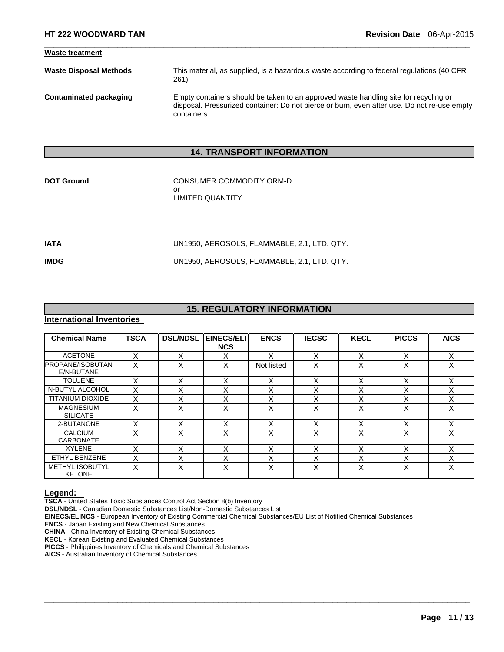| <b>Waste treatment</b>        |                                                                                                                                                                                                    |
|-------------------------------|----------------------------------------------------------------------------------------------------------------------------------------------------------------------------------------------------|
| <b>Waste Disposal Methods</b> | This material, as supplied, is a hazardous waste according to federal regulations (40 CFR<br>$261$ .                                                                                               |
| Contaminated packaging        | Empty containers should be taken to an approved waste handling site for recycling or<br>disposal. Pressurized container: Do not pierce or burn, even after use. Do not re-use empty<br>containers. |

 $\Box$ 

# **14. TRANSPORT INFORMATION**

| <b>DOT Ground</b> | CONSUMER COMMODITY ORM-D |
|-------------------|--------------------------|
|                   | Ωr                       |
|                   | LIMITED QUANTITY         |
|                   |                          |

| IATA | UN1950, AEROSOLS, FLAMMABLE, 2.1, LTD. QTY. |
|------|---------------------------------------------|
| IMDG | UN1950, AEROSOLS, FLAMMABLE, 2.1, LTD. QTY. |

# **15. REGULATORY INFORMATION**

# **International Inventories**

| <b>Chemical Name</b>                    | <b>TSCA</b> | <b>DSL/NDSL</b> | <b>EINECS/ELI</b><br><b>NCS</b> | <b>ENCS</b> | <b>IECSC</b> | <b>KECL</b>               | <b>PICCS</b>      | <b>AICS</b> |
|-----------------------------------------|-------------|-----------------|---------------------------------|-------------|--------------|---------------------------|-------------------|-------------|
| <b>ACETONE</b>                          | X           | X               | X                               | x           | X            | X                         | X                 | X           |
| <b>PROPANE/ISOBUTAN</b><br>E/N-BUTANE   | X           | X               | X                               | Not listed  | X            | x                         | $\check{ }$<br>⋏  | X           |
| <b>TOLUENE</b>                          | X           | X               | X                               | X           | X            | X                         | ⋏                 | X           |
| N-BUTYL ALCOHOL                         | X           | X               | X                               | X           | X            | $\checkmark$<br>⌒         | X                 | X           |
| <b>TITANIUM DIOXIDE</b>                 | X           | X               | X                               | X           | X            | X                         | x                 | X           |
| <b>MAGNESIUM</b><br><b>SILICATE</b>     | x           | x               | X                               | Χ           | X            | x                         | $\checkmark$<br>⋏ | X           |
| 2-BUTANONE                              | X           | X               | X                               | X           | X            | X                         | ⋏                 | X           |
| <b>CALCIUM</b><br><b>CARBONATE</b>      | x           | X               | X                               | X           | X            | $\checkmark$<br>$\lambda$ | X                 | X           |
| <b>XYLENE</b>                           |             | x               | X                               | Χ           | X            | v                         |                   | x           |
| ETHYL BENZENE                           | X           | X               | X                               | Χ           | X            | X                         | x                 | X           |
| <b>METHYL ISOBUTYL</b><br><b>KETONE</b> | Χ           | x               | X                               | x           | X            | X                         | $\check{ }$<br>⋏  | X           |

 $\Box$ 

**Legend: TSCA** - United States Toxic Substances Control Act Section 8(b) Inventory

**DSL/NDSL** - Canadian Domestic Substances List/Non-Domestic Substances List

**EINECS/ELINCS** - European Inventory of Existing Commercial Chemical Substances/EU List of Notified Chemical Substances

**ENCS** - Japan Existing and New Chemical Substances

**CHINA** - China Inventory of Existing Chemical Substances

**KECL** - Korean Existing and Evaluated Chemical Substances

**PICCS** - Philippines Inventory of Chemicals and Chemical Substances

**AICS** - Australian Inventory of Chemical Substances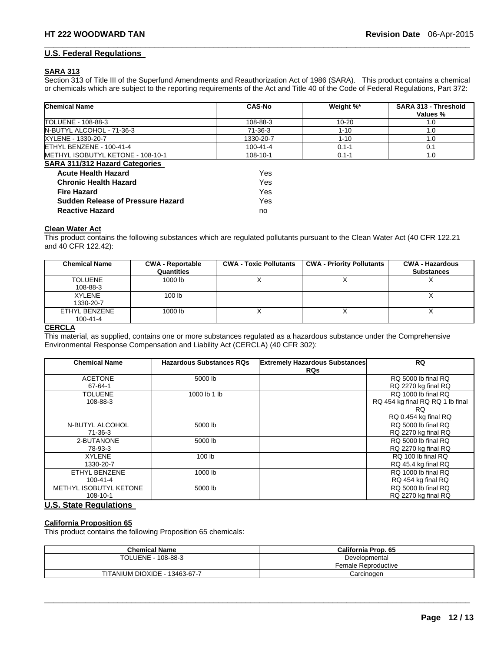#### **U.S. Federal Regulations**

#### **SARA 313**

Section 313 of Title III of the Superfund Amendments and Reauthorization Act of 1986 (SARA). This product contains a chemical or chemicals which are subject to the reporting requirements of the Act and Title 40 of the Code of Federal Regulations, Part 372:

 $\Box$ 

| <b>Chemical Name</b>                     | <b>CAS-No</b>  | Weight %* | <b>SARA 313 - Threshold</b><br>Values % |
|------------------------------------------|----------------|-----------|-----------------------------------------|
| TOLUENE - 108-88-3                       | 108-88-3       | $10 - 20$ | 1.0                                     |
| N-BUTYL ALCOHOL - 71-36-3                | 71-36-3        | $1 - 10$  | 1.0                                     |
| XYLENE - 1330-20-7                       | 1330-20-7      | $1 - 10$  | 1.0                                     |
| ETHYL BENZENE - 100-41-4                 | $100 - 41 - 4$ | $0.1 - 1$ | 0.1                                     |
| METHYL ISOBUTYL KETONE - 108-10-1        | 108-10-1       | $0.1 - 1$ | 1.0                                     |
| <b>SARA 311/312 Hazard Categories</b>    |                |           |                                         |
| <b>Acute Health Hazard</b>               | Yes            |           |                                         |
| <b>Chronic Health Hazard</b>             | Yes            |           |                                         |
| <b>Fire Hazard</b>                       | Yes            |           |                                         |
| <b>Sudden Release of Pressure Hazard</b> | Yes            |           |                                         |
| <b>Reactive Hazard</b>                   | no             |           |                                         |

#### **Clean Water Act**

This product contains the following substances which are regulated pollutants pursuant to the Clean Water Act (40 CFR 122.21 and 40 CFR 122.42):

| <b>Chemical Name</b> | <b>CWA - Reportable</b><br>Quantities | <b>CWA - Toxic Pollutants</b> | <b>CWA - Priority Pollutants</b> | <b>CWA - Hazardous</b><br><b>Substances</b> |
|----------------------|---------------------------------------|-------------------------------|----------------------------------|---------------------------------------------|
| <b>TOLUENE</b>       | 1000 lb                               |                               |                                  |                                             |
| 108-88-3             |                                       |                               |                                  |                                             |
| <b>XYLENE</b>        | 100 <sub>1b</sub>                     |                               |                                  |                                             |
| 1330-20-7            |                                       |                               |                                  |                                             |
| ETHYL BENZENE        | 1000 lb                               |                               |                                  |                                             |
| $100 - 41 - 4$       |                                       |                               |                                  |                                             |

### **CERCLA**

This material, as supplied, contains one or more substances regulated as a hazardous substance under the Comprehensive Environmental Response Compensation and Liability Act (CERCLA) (40 CFR 302):

| <b>Chemical Name</b>   | <b>Hazardous Substances RQs</b> | <b>Extremely Hazardous Substances</b> | <b>RQ</b>                        |
|------------------------|---------------------------------|---------------------------------------|----------------------------------|
|                        |                                 | <b>RQs</b>                            |                                  |
| <b>ACETONE</b>         | 5000 lb                         |                                       | RQ 5000 lb final RQ              |
| 67-64-1                |                                 |                                       | RQ 2270 kg final RQ              |
| <b>TOLUENE</b>         | 1000 lb 1 lb                    |                                       | RQ 1000 lb final RQ              |
| 108-88-3               |                                 |                                       | RQ 454 kg final RQ RQ 1 lb final |
|                        |                                 |                                       | RQ.                              |
|                        |                                 |                                       | RQ 0.454 kg final RQ             |
| N-BUTYL ALCOHOL        | 5000 lb                         |                                       | RQ 5000 lb final RQ              |
| $71-36-3$              |                                 |                                       | RQ 2270 kg final RQ              |
| 2-BUTANONE             | 5000 lb                         |                                       | RQ 5000 lb final RQ              |
| 78-93-3                |                                 |                                       | RQ 2270 kg final RQ              |
| <b>XYLENE</b>          | 100 lb                          |                                       | RQ 100 lb final RQ               |
| 1330-20-7              |                                 |                                       | RQ 45.4 kg final RQ              |
| <b>ETHYL BENZENE</b>   | 1000 lb                         |                                       | RQ 1000 lb final RQ              |
| $100 - 41 - 4$         |                                 |                                       | RQ 454 kg final RQ               |
| METHYL ISOBUTYL KETONE | 5000 lb                         |                                       | RQ 5000 lb final RQ              |
| 108-10-1               |                                 |                                       | RQ 2270 kg final RQ              |

# **U.S. State Regulations**

#### **California Proposition 65**

This product contains the following Proposition 65 chemicals:

| <b>Chemical Name</b>          | California Prop. 65                  |
|-------------------------------|--------------------------------------|
| TOLUENE - 108-88-3            | Developmental<br>Female Reproductive |
| TITANIUM DIOXIDE - 13463-67-7 | Carcinoɑen                           |